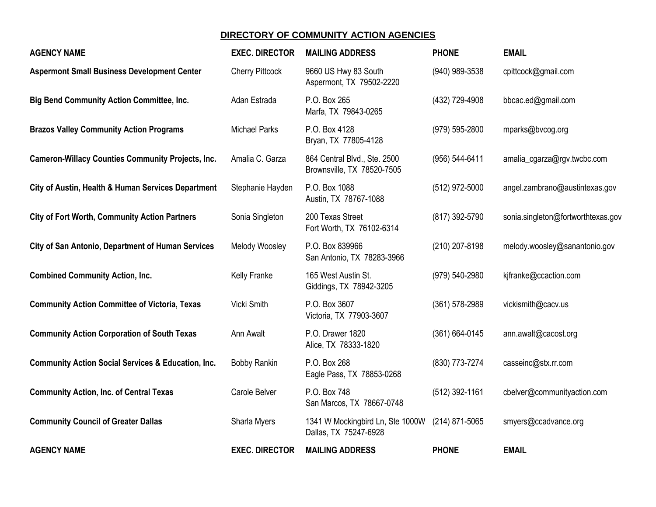## **DIRECTORY OF COMMUNITY ACTION AGENCIES**

| <b>AGENCY NAME</b>                                            | <b>EXEC. DIRECTOR</b>  | <b>MAILING ADDRESS</b>                                     | <b>PHONE</b>       | <b>EMAIL</b>                       |
|---------------------------------------------------------------|------------------------|------------------------------------------------------------|--------------------|------------------------------------|
| <b>Aspermont Small Business Development Center</b>            | <b>Cherry Pittcock</b> | 9660 US Hwy 83 South<br>Aspermont, TX 79502-2220           | (940) 989-3538     | cpittcock@gmail.com                |
| <b>Big Bend Community Action Committee, Inc.</b>              | Adan Estrada           | P.O. Box 265<br>Marfa, TX 79843-0265                       | (432) 729-4908     | bbcac.ed@gmail.com                 |
| <b>Brazos Valley Community Action Programs</b>                | <b>Michael Parks</b>   | P.O. Box 4128<br>Bryan, TX 77805-4128                      | (979) 595-2800     | mparks@bvcog.org                   |
| <b>Cameron-Willacy Counties Community Projects, Inc.</b>      | Amalia C. Garza        | 864 Central Blvd., Ste. 2500<br>Brownsville, TX 78520-7505 | (956) 544-6411     | amalia_cgarza@rgv.twcbc.com        |
| City of Austin, Health & Human Services Department            | Stephanie Hayden       | P.O. Box 1088<br>Austin, TX 78767-1088                     | (512) 972-5000     | angel.zambrano@austintexas.gov     |
| <b>City of Fort Worth, Community Action Partners</b>          | Sonia Singleton        | 200 Texas Street<br>Fort Worth, TX 76102-6314              | (817) 392-5790     | sonia.singleton@fortworthtexas.gov |
| <b>City of San Antonio, Department of Human Services</b>      | Melody Woosley         | P.O. Box 839966<br>San Antonio, TX 78283-3966              | (210) 207-8198     | melody.woosley@sanantonio.gov      |
| <b>Combined Community Action, Inc.</b>                        | Kelly Franke           | 165 West Austin St.<br>Giddings, TX 78942-3205             | (979) 540-2980     | kjfranke@ccaction.com              |
| <b>Community Action Committee of Victoria, Texas</b>          | Vicki Smith            | P.O. Box 3607<br>Victoria, TX 77903-3607                   | $(361) 578 - 2989$ | vickismith@cacv.us                 |
| <b>Community Action Corporation of South Texas</b>            | Ann Awalt              | P.O. Drawer 1820<br>Alice, TX 78333-1820                   | $(361) 664 - 0145$ | ann.awalt@cacost.org               |
| <b>Community Action Social Services &amp; Education, Inc.</b> | <b>Bobby Rankin</b>    | P.O. Box 268<br>Eagle Pass, TX 78853-0268                  | (830) 773-7274     | casseinc@stx.rr.com                |
| <b>Community Action, Inc. of Central Texas</b>                | Carole Belver          | P.O. Box 748<br>San Marcos, TX 78667-0748                  | (512) 392-1161     | cbelver@communityaction.com        |
| <b>Community Council of Greater Dallas</b>                    | Sharla Myers           | 1341 W Mockingbird Ln, Ste 1000W<br>Dallas, TX 75247-6928  | (214) 871-5065     | smyers@ccadvance.org               |
| <b>AGENCY NAME</b>                                            | <b>EXEC. DIRECTOR</b>  | <b>MAILING ADDRESS</b>                                     | <b>PHONE</b>       | <b>EMAIL</b>                       |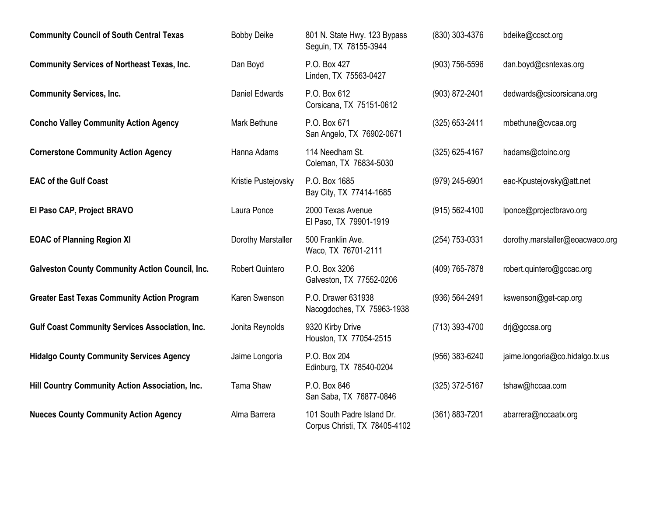| <b>Community Council of South Central Texas</b>        | <b>Bobby Deike</b>     | 801 N. State Hwy. 123 Bypass<br>Seguin, TX 78155-3944       | (830) 303-4376     | bdeike@ccsct.org                |
|--------------------------------------------------------|------------------------|-------------------------------------------------------------|--------------------|---------------------------------|
| <b>Community Services of Northeast Texas, Inc.</b>     | Dan Boyd               | P.O. Box 427<br>Linden, TX 75563-0427                       | $(903)$ 756-5596   | dan.boyd@csntexas.org           |
| <b>Community Services, Inc.</b>                        | <b>Daniel Edwards</b>  | P.O. Box 612<br>Corsicana, TX 75151-0612                    | (903) 872-2401     | dedwards@csicorsicana.org       |
| <b>Concho Valley Community Action Agency</b>           | Mark Bethune           | P.O. Box 671<br>San Angelo, TX 76902-0671                   | $(325)$ 653-2411   | mbethune@cvcaa.org              |
| <b>Cornerstone Community Action Agency</b>             | Hanna Adams            | 114 Needham St.<br>Coleman, TX 76834-5030                   | $(325)$ 625-4167   | hadams@ctoinc.org               |
| <b>EAC of the Gulf Coast</b>                           | Kristie Pustejovsky    | P.O. Box 1685<br>Bay City, TX 77414-1685                    | (979) 245-6901     | eac-Kpustejovsky@att.net        |
| El Paso CAP, Project BRAVO                             | Laura Ponce            | 2000 Texas Avenue<br>El Paso, TX 79901-1919                 | $(915) 562 - 4100$ | lponce@projectbravo.org         |
| <b>EOAC of Planning Region XI</b>                      | Dorothy Marstaller     | 500 Franklin Ave.<br>Waco, TX 76701-2111                    | (254) 753-0331     | dorothy.marstaller@eoacwaco.org |
| <b>Galveston County Community Action Council, Inc.</b> | <b>Robert Quintero</b> | P.O. Box 3206<br>Galveston, TX 77552-0206                   | (409) 765-7878     | robert.quintero@gccac.org       |
| <b>Greater East Texas Community Action Program</b>     | Karen Swenson          | P.O. Drawer 631938<br>Nacogdoches, TX 75963-1938            | $(936) 564 - 2491$ | kswenson@get-cap.org            |
| <b>Gulf Coast Community Services Association, Inc.</b> | Jonita Reynolds        | 9320 Kirby Drive<br>Houston, TX 77054-2515                  | (713) 393-4700     | drj@gccsa.org                   |
| <b>Hidalgo County Community Services Agency</b>        | Jaime Longoria         | P.O. Box 204<br>Edinburg, TX 78540-0204                     | (956) 383-6240     | jaime.longoria@co.hidalgo.tx.us |
| Hill Country Community Action Association, Inc.        | <b>Tama Shaw</b>       | P.O. Box 846<br>San Saba, TX 76877-0846                     | $(325)$ 372-5167   | tshaw@hccaa.com                 |
| <b>Nueces County Community Action Agency</b>           | Alma Barrera           | 101 South Padre Island Dr.<br>Corpus Christi, TX 78405-4102 | (361) 883-7201     | abarrera@nccaatx.org            |